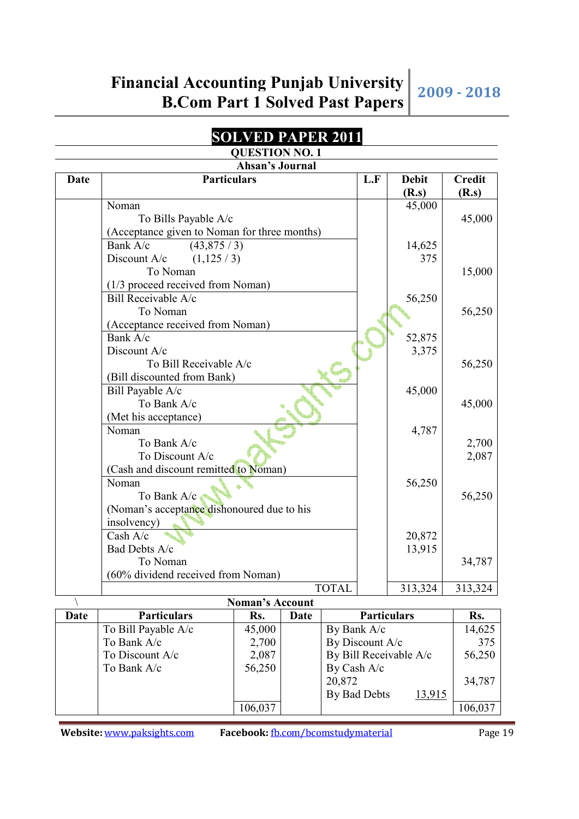### **SOLVED PAPER 2011**

### **QUESTION NO. 1**

| Ahsan's Journal |                                              |                        |      |                 |                    |                        |                        |  |  |
|-----------------|----------------------------------------------|------------------------|------|-----------------|--------------------|------------------------|------------------------|--|--|
| <b>Date</b>     | <b>Particulars</b>                           |                        |      |                 | L.F                | <b>Debit</b><br>(R.s)  | <b>Credit</b><br>(R.s) |  |  |
|                 | Noman                                        |                        |      |                 |                    | 45,000                 |                        |  |  |
|                 | To Bills Payable A/c                         |                        |      |                 |                    |                        | 45,000                 |  |  |
|                 | (Acceptance given to Noman for three months) |                        |      |                 |                    |                        |                        |  |  |
|                 | Bank A/c<br>(43,875/3)                       |                        |      |                 |                    | 14,625                 |                        |  |  |
|                 | Discount A/c<br>(1,125/3)                    |                        |      |                 |                    | 375                    |                        |  |  |
|                 | To Noman                                     |                        |      |                 |                    |                        | 15,000                 |  |  |
|                 | (1/3 proceed received from Noman)            |                        |      |                 |                    |                        |                        |  |  |
|                 | Bill Receivable A/c                          |                        |      |                 |                    | 56,250                 |                        |  |  |
|                 | To Noman                                     |                        |      |                 |                    |                        | 56,250                 |  |  |
|                 | (Acceptance received from Noman)             |                        |      |                 |                    |                        |                        |  |  |
|                 | Bank A/c                                     |                        |      |                 |                    | 52,875                 |                        |  |  |
|                 | Discount A/c                                 |                        |      |                 |                    | 3,375                  |                        |  |  |
|                 | To Bill Receivable A/c                       |                        |      |                 |                    |                        | 56,250                 |  |  |
|                 | (Bill discounted from Bank)                  |                        |      |                 |                    |                        |                        |  |  |
|                 | Bill Payable A/c                             |                        |      |                 |                    | 45,000                 |                        |  |  |
|                 | To Bank A/c                                  |                        |      |                 |                    |                        | 45,000                 |  |  |
|                 | (Met his acceptance)                         |                        |      |                 |                    |                        |                        |  |  |
|                 | Noman<br>To Bank A/c                         |                        |      |                 |                    | 4,787                  | 2,700                  |  |  |
|                 | To Discount A/c                              |                        |      |                 |                    |                        | 2,087                  |  |  |
|                 | (Cash and discount remitted to Noman)        |                        |      |                 |                    |                        |                        |  |  |
|                 | Noman                                        |                        |      |                 |                    | 56,250                 |                        |  |  |
|                 | To Bank A/c                                  |                        |      |                 |                    |                        | 56,250                 |  |  |
|                 | (Noman's acceptance dishonoured due to his   |                        |      |                 |                    |                        |                        |  |  |
|                 | insolvency)                                  |                        |      |                 |                    |                        |                        |  |  |
|                 | Cash A/c                                     |                        |      |                 |                    | 20,872                 |                        |  |  |
|                 | Bad Debts A/c                                |                        |      |                 |                    | 13,915                 |                        |  |  |
|                 | To Noman                                     |                        |      |                 |                    |                        | 34,787                 |  |  |
|                 | (60% dividend received from Noman)           |                        |      |                 |                    |                        |                        |  |  |
|                 |                                              |                        |      | <b>TOTAL</b>    |                    | 313,324                | 313,324                |  |  |
|                 |                                              | <b>Noman's Account</b> |      |                 |                    |                        |                        |  |  |
| Date            | <b>Particulars</b>                           | Rs.                    | Date |                 | <b>Particulars</b> |                        | Rs.                    |  |  |
|                 | To Bill Payable A/c                          | 45,000                 |      | By Bank A/c     |                    |                        | 14,625                 |  |  |
|                 | To Bank A/c                                  | 2,700                  |      | By Discount A/c |                    |                        | 375                    |  |  |
|                 | To Discount A/c                              | 2,087                  |      |                 |                    | By Bill Receivable A/c | 56,250                 |  |  |
|                 | To Bank A/c                                  | 56,250                 |      | By Cash A/c     |                    |                        |                        |  |  |
|                 |                                              |                        |      | 20,872          |                    |                        | 34,787                 |  |  |
|                 |                                              |                        |      | By Bad Debts    |                    | <u>13,915</u>          |                        |  |  |
|                 |                                              | 106,037                |      |                 |                    |                        | 106,037                |  |  |

**Website:** www.paksights.com **Facebook:** fb.com/bcomstudymaterial Page 19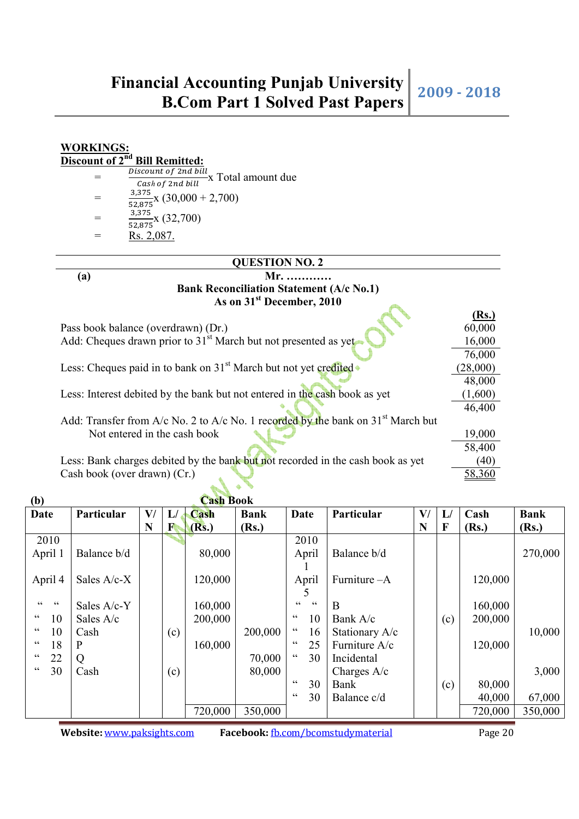| <b>WORKINGS:</b>            |                                                                                                  |          |
|-----------------------------|--------------------------------------------------------------------------------------------------|----------|
| Discount of 2 <sup>nd</sup> | <b>Bill Remitted:</b>                                                                            |          |
| =                           | Discount of 2nd bill<br>X Total amount due                                                       |          |
|                             | Cash of 2nd bill                                                                                 |          |
| $=$                         | $\frac{5.000 \times 10^{-3}}{52,875}$ (30,000 + 2,700)                                           |          |
|                             |                                                                                                  |          |
| $=$                         | $\frac{3,375}{52,875}$ x (32,700)                                                                |          |
| =                           | <u>Rs. 2,087.</u>                                                                                |          |
|                             |                                                                                                  |          |
|                             | <b>QUESTION NO. 2</b>                                                                            |          |
| (a)                         | Mr.                                                                                              |          |
|                             | <b>Bank Reconciliation Statement (A/c No.1)</b>                                                  |          |
|                             | As on 31 <sup>st</sup> December, 2010                                                            |          |
|                             |                                                                                                  | (Rs.)    |
|                             | Pass book balance (overdrawn) (Dr.)                                                              | 60,000   |
|                             | Add: Cheques drawn prior to $31st$ March but not presented as yet                                | 16,000   |
|                             |                                                                                                  | 76,000   |
|                             | Less: Cheques paid in to bank on 31 <sup>st</sup> March but not yet credited.                    | (28,000) |
|                             |                                                                                                  | 48,000   |
|                             | Less: Interest debited by the bank but not entered in the cash book as yet                       | (1,600)  |
|                             |                                                                                                  | 46,400   |
|                             | Add: Transfer from $A/c$ No. 2 to $A/c$ No. 1 recorded by the bank on 31 <sup>st</sup> March but |          |
|                             | Not entered in the cash book                                                                     | 19,000   |
|                             |                                                                                                  | 58,400   |
|                             | Less: Bank charges debited by the bank but not recorded in the cash book as yet                  | (40)     |
|                             | Cash book (over drawn) (Cr.)                                                                     | 58,360   |
|                             |                                                                                                  |          |

| (b)                                |              |    |     | <b>Cash Book</b> |             |                                |                |    |     |         |             |
|------------------------------------|--------------|----|-----|------------------|-------------|--------------------------------|----------------|----|-----|---------|-------------|
| <b>Date</b>                        | Particular   | V/ | L/  | Cash             | <b>Bank</b> | Date                           | Particular     | V/ | L   | Cash    | <b>Bank</b> |
|                                    |              | N  | F   | (Rs.)            | (Rs.)       |                                |                | N  | F   | (Rs.)   | (Rs.)       |
| 2010                               |              |    |     |                  |             | 2010                           |                |    |     |         |             |
| April 1                            | Balance b/d  |    |     | 80,000           |             | April                          | Balance b/d    |    |     |         | 270,000     |
|                                    |              |    |     |                  |             |                                |                |    |     |         |             |
| April 4                            | Sales A/c-X  |    |     | 120,000          |             | April                          | Furniture - A  |    |     | 120,000 |             |
|                                    |              |    |     |                  |             |                                |                |    |     |         |             |
| $\zeta$ $\zeta$<br>$\zeta$ $\zeta$ | Sales A/c-Y  |    |     | 160,000          |             | 66<br>$\textsf{G}\,\textsf{G}$ | B              |    |     | 160,000 |             |
| 66<br>10                           | Sales A/c    |    |     | 200,000          |             | 66<br>10                       | Bank A/c       |    | (c) | 200,000 |             |
| 66<br>10                           | Cash         |    | (c) |                  | 200,000     | $\textsf{G}\,\textsf{G}$<br>16 | Stationary A/c |    |     |         | 10,000      |
| 66<br>18                           | $\mathbf{P}$ |    |     | 160,000          |             | $\textsf{G}\,\textsf{G}$<br>25 | Furniture A/c  |    |     | 120,000 |             |
| 66<br>22                           | Q            |    |     |                  | 70,000      | $\textsf{G}\,\textsf{G}$<br>30 | Incidental     |    |     |         |             |
| 30<br>66                           | Cash         |    | (c) |                  | 80,000      |                                | Charges $A/c$  |    |     |         | 3,000       |
|                                    |              |    |     |                  |             | $\textsf{G}\,\textsf{G}$<br>30 | Bank           |    | (c) | 80,000  |             |
|                                    |              |    |     |                  |             | $\textsf{G}\,\textsf{G}$<br>30 | Balance c/d    |    |     | 40,000  | 67,000      |
|                                    |              |    |     | 720,000          | 350,000     |                                |                |    |     | 720,000 | 350,000     |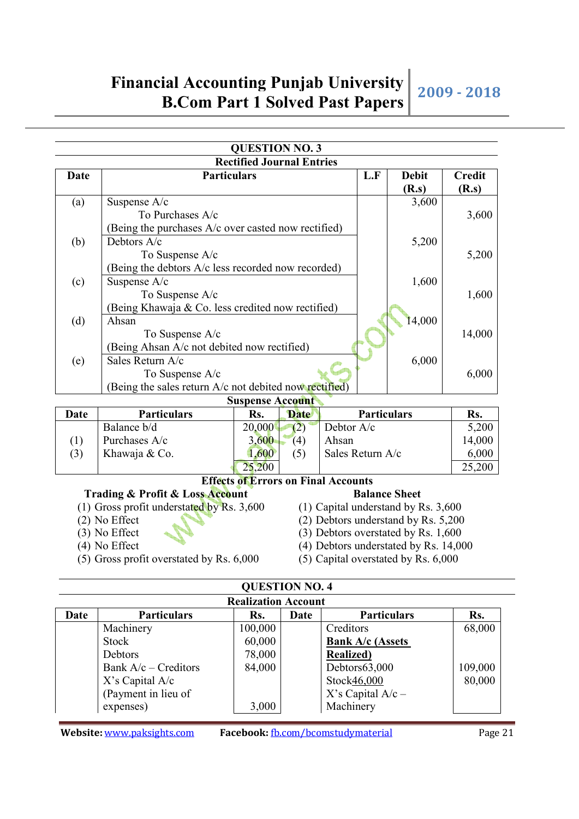|      |                                                        | <b>QUESTION NO. 3</b>                      |                                       |                      |               |
|------|--------------------------------------------------------|--------------------------------------------|---------------------------------------|----------------------|---------------|
|      |                                                        | <b>Rectified Journal Entries</b>           |                                       |                      |               |
| Date | <b>Particulars</b>                                     |                                            | L.F                                   | <b>Debit</b>         | <b>Credit</b> |
|      |                                                        |                                            |                                       | (R.s)                | (R.s)         |
| (a)  | Suspense A/c                                           |                                            |                                       | 3,600                |               |
|      | To Purchases A/c                                       |                                            |                                       |                      | 3,600         |
|      | (Being the purchases A/c over casted now rectified)    |                                            |                                       |                      |               |
| (b)  | Debtors A/c                                            |                                            |                                       | 5,200                |               |
|      | To Suspense A/c                                        |                                            |                                       |                      | 5,200         |
|      | (Being the debtors A/c less recorded now recorded)     |                                            |                                       |                      |               |
| (c)  | Suspense A/c                                           |                                            |                                       | 1,600                |               |
|      | To Suspense A/c                                        |                                            |                                       |                      | 1,600         |
|      | (Being Khawaja & Co. less credited now rectified)      |                                            |                                       |                      |               |
| (d)  | Ahsan                                                  |                                            |                                       | 14,000               |               |
|      | To Suspense A/c                                        |                                            |                                       |                      | 14,000        |
|      | (Being Ahsan A/c not debited now rectified)            |                                            |                                       |                      |               |
| (e)  | Sales Return A/c                                       |                                            |                                       | 6,000                |               |
|      | To Suspense A/c                                        |                                            |                                       |                      | 6,000         |
|      | (Being the sales return A/c not debited now rectified) |                                            |                                       |                      |               |
|      |                                                        | <b>Suspense Account</b>                    |                                       |                      |               |
| Date | <b>Particulars</b>                                     | Rs.<br><b>Date</b>                         | <b>Particulars</b>                    |                      | Rs.           |
|      | Balance b/d                                            | (2)<br>20,000                              | Debtor A/c                            |                      | 5,200         |
| (1)  | Purchases A/c                                          | 3,600<br>(4)                               | Ahsan                                 |                      | 14,000        |
| (3)  | Khawaja & Co.                                          | 1,600<br>(5)                               | Sales Return A/c                      |                      | 6,000         |
|      |                                                        | 25,200                                     |                                       |                      | 25,200        |
|      |                                                        | <b>Effects of Errors on Final Accounts</b> |                                       |                      |               |
|      | Trading & Profit & Loss Account                        |                                            |                                       | <b>Balance Sheet</b> |               |
|      | (1) Gross profit understated by Rs. 3,600              |                                            | (1) Capital understand by Rs. 3,600   |                      |               |
|      | $(2)$ No Effect                                        |                                            | (2) Debtors understand by Rs. 5,200   |                      |               |
|      | (3) No Effect                                          |                                            | (3) Debtors overstated by Rs. 1,600   |                      |               |
|      | $(4)$ No Effect                                        |                                            | (4) Debtors understated by Rs. 14,000 |                      |               |
|      |                                                        |                                            |                                       |                      |               |
|      | $(5)$ Gross profit overstated by Rs. $6,000$           |                                            | (5) Capital overstated by Rs. 6,000   |                      |               |

| <b>Realization Account</b> |                        |         |      |                         |         |  |  |  |
|----------------------------|------------------------|---------|------|-------------------------|---------|--|--|--|
| Date                       | <b>Particulars</b>     | Rs.     | Date | <b>Particulars</b>      | Rs.     |  |  |  |
|                            | Machinery              | 100,000 |      | Creditors               | 68,000  |  |  |  |
|                            | Stock                  | 60,000  |      | <b>Bank A/c (Assets</b> |         |  |  |  |
|                            | Debtors                | 78,000  |      | <b>Realized</b> )       |         |  |  |  |
|                            | Bank $A/c$ – Creditors | 84,000  |      | Debtors63,000           | 109,000 |  |  |  |
|                            | $X$ 's Capital A/c     |         |      | Stock46,000             | 80,000  |  |  |  |
|                            | (Payment in lieu of    |         |      | $X$ 's Capital A/c –    |         |  |  |  |
|                            | expenses)              | 3,000   |      | Machinery               |         |  |  |  |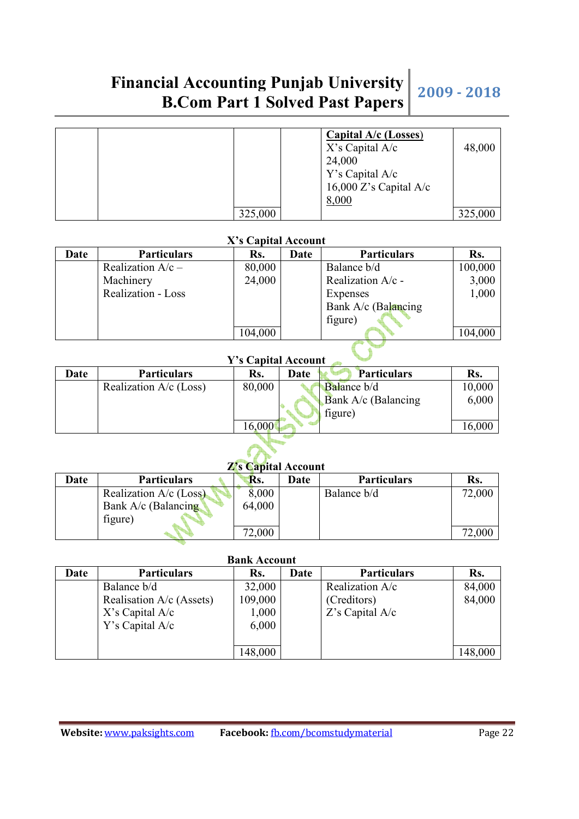# **Financial Accounting Punjab University B.Com Part 1 Solved Past Papers 2009 - 2018**

|  |         | <b>Capital A/c (Losses)</b><br>$X$ 's Capital A/c | 48,000  |
|--|---------|---------------------------------------------------|---------|
|  |         | 24,000                                            |         |
|  |         | Y's Capital A/c<br>16,000 Z's Capital A/c         |         |
|  |         | 8,000                                             |         |
|  | 325,000 |                                                   | 325,000 |

### **X's Capital Account**

| Date | <b>Particulars</b>        | Rs.     | Date | <b>Particulars</b>  | Rs.     |
|------|---------------------------|---------|------|---------------------|---------|
|      | Realization $A/c -$       | 80,000  |      | Balance b/d         | 100,000 |
|      | Machinery                 | 24,000  |      | Realization A/c -   | 3,000   |
|      | <b>Realization - Loss</b> |         |      | Expenses            | 1,000   |
|      |                           |         |      | Bank A/c (Balancing |         |
|      |                           |         |      | figure)             |         |
|      |                           | 104,000 |      |                     | 104,000 |

## **Y's Capital Account**

| Date | <b>Particulars</b>       | Rs.    | Date | <b>Particulars</b>    | Rs.    |
|------|--------------------------|--------|------|-----------------------|--------|
|      | Realization $A/c$ (Loss) | 80,000 |      | <b>Balance b/d</b>    | 10,000 |
|      |                          |        |      | Bank $A/c$ (Balancing | 6,000  |
|      |                          |        |      | figure)               |        |
|      |                          | 16,000 |      |                       | 16,000 |

### **Z's Capital Account**

| <b>A</b> <i>d</i> Capital Account |                        |        |      |                    |        |  |  |
|-----------------------------------|------------------------|--------|------|--------------------|--------|--|--|
| Date                              | <b>Particulars</b>     | Rs.    | Date | <b>Particulars</b> | Rs.    |  |  |
|                                   | Realization A/c (Loss) | 8.000  |      | Balance b/d        | 72,000 |  |  |
|                                   | Bank $A/c$ (Balancing) | 64,000 |      |                    |        |  |  |
|                                   | figure)                |        |      |                    |        |  |  |
|                                   |                        | 72,000 |      |                    | 72,000 |  |  |

### **Bank Account**

| Date | <b>Particulars</b>       | Rs.     | Date | <b>Particulars</b> | Rs.     |
|------|--------------------------|---------|------|--------------------|---------|
|      | Balance b/d              | 32,000  |      | Realization A/c    | 84,000  |
|      | Realisation A/c (Assets) | 109,000 |      | (Creditors)        | 84,000  |
|      | $X$ 's Capital A/c       | 1,000   |      | $Z$ 's Capital A/c |         |
|      | Y's Capital A/c          | 6,000   |      |                    |         |
|      |                          |         |      |                    |         |
|      |                          | 148,000 |      |                    | 148,000 |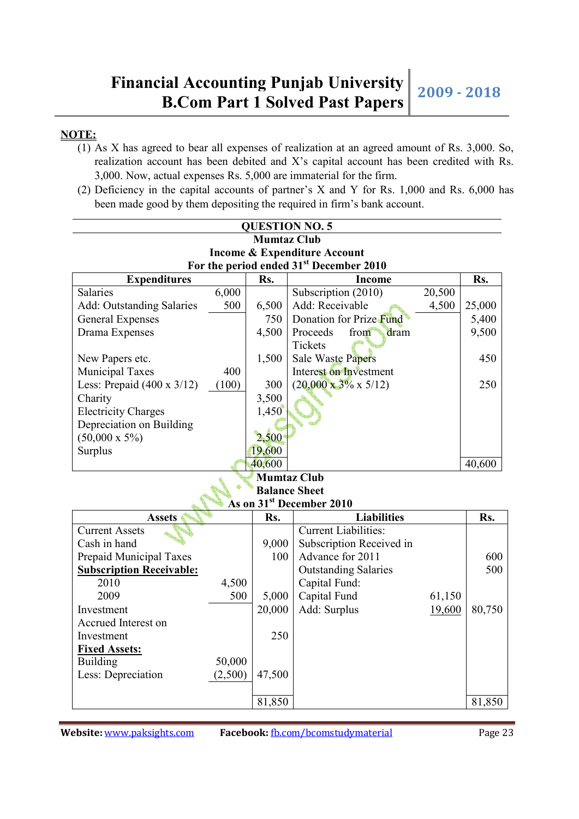### **NOTE:**

- (1) As X has agreed to bear all expenses of realization at an agreed amount of Rs. 3,000. So, realization account has been debited and X's capital account has been credited with Rs. 3,000. Now, actual expenses Rs. 5,000 are immaterial for the firm.
- (2) Deficiency in the capital accounts of partner's X and Y for Rs. 1,000 and Rs. 6,000 has been made good by them depositing the required in firm's bank account.

| <b>QUESTION NO. 5</b>                               |       |        |                                   |        |        |  |  |  |  |  |
|-----------------------------------------------------|-------|--------|-----------------------------------|--------|--------|--|--|--|--|--|
| <b>Mumtaz Club</b>                                  |       |        |                                   |        |        |  |  |  |  |  |
| <b>Income &amp; Expenditure Account</b>             |       |        |                                   |        |        |  |  |  |  |  |
| For the period ended 31 <sup>st</sup> December 2010 |       |        |                                   |        |        |  |  |  |  |  |
| Rs.<br>Rs.<br><b>Expenditures</b><br>Income         |       |        |                                   |        |        |  |  |  |  |  |
| Salaries                                            | 6,000 |        | Subscription (2010)               | 20,500 |        |  |  |  |  |  |
| <b>Add: Outstanding Salaries</b>                    | 500   | 6,500  | Add: Receivable                   | 4,500  | 25,000 |  |  |  |  |  |
| General Expenses                                    |       | 750    | Donation for Prize Fund           |        | 5,400  |  |  |  |  |  |
| Drama Expenses                                      |       | 4,500  | Proceeds<br>from<br>dram          |        | 9,500  |  |  |  |  |  |
|                                                     |       |        | Tickets                           |        |        |  |  |  |  |  |
| New Papers etc.                                     |       | 1,500  | <b>Sale Waste Papers</b>          |        | 450    |  |  |  |  |  |
| Municipal Taxes                                     | 400   |        | Interest on Investment            |        |        |  |  |  |  |  |
| Less: Prepaid $(400 \times 3/12)$                   | (100) | 300    | $(20,000 \times 3\% \times 5/12)$ |        | 250    |  |  |  |  |  |
| Charity                                             |       | 3,500  |                                   |        |        |  |  |  |  |  |
| <b>Electricity Charges</b>                          |       | 1,450  |                                   |        |        |  |  |  |  |  |
| Depreciation on Building                            |       |        |                                   |        |        |  |  |  |  |  |
| $(50,000 \times 5\%)$                               |       | 2,500  |                                   |        |        |  |  |  |  |  |
| Surplus                                             |       | 19,600 |                                   |        |        |  |  |  |  |  |
|                                                     |       | 40,600 |                                   |        | 40,600 |  |  |  |  |  |
|                                                     |       |        | <b>Mumtaz Club</b>                |        |        |  |  |  |  |  |

### **Balance Sheet As on 31st December 2010**

| AS UN 91 DECEMBER 2010          |         |        |                             |        |        |  |  |
|---------------------------------|---------|--------|-----------------------------|--------|--------|--|--|
| <b>Assets</b>                   |         | Rs.    | <b>Liabilities</b>          |        | Rs.    |  |  |
| <b>Current Assets</b>           |         |        | <b>Current Liabilities:</b> |        |        |  |  |
| Cash in hand                    |         | 9,000  | Subscription Received in    |        |        |  |  |
| Prepaid Municipal Taxes         |         | 100    | Advance for 2011            |        | 600    |  |  |
| <b>Subscription Receivable:</b> |         |        | <b>Outstanding Salaries</b> |        | 500    |  |  |
| 2010                            | 4,500   |        | Capital Fund:               |        |        |  |  |
| 2009                            | 500     | 5,000  | Capital Fund                | 61,150 |        |  |  |
| Investment                      |         | 20,000 | Add: Surplus                | 19,600 | 80,750 |  |  |
| Accrued Interest on             |         |        |                             |        |        |  |  |
| Investment                      |         | 250    |                             |        |        |  |  |
| <b>Fixed Assets:</b>            |         |        |                             |        |        |  |  |
| <b>Building</b>                 | 50,000  |        |                             |        |        |  |  |
| Less: Depreciation              | (2,500) | 47,500 |                             |        |        |  |  |
|                                 |         |        |                             |        |        |  |  |
|                                 |         | 81,850 |                             |        | 81,850 |  |  |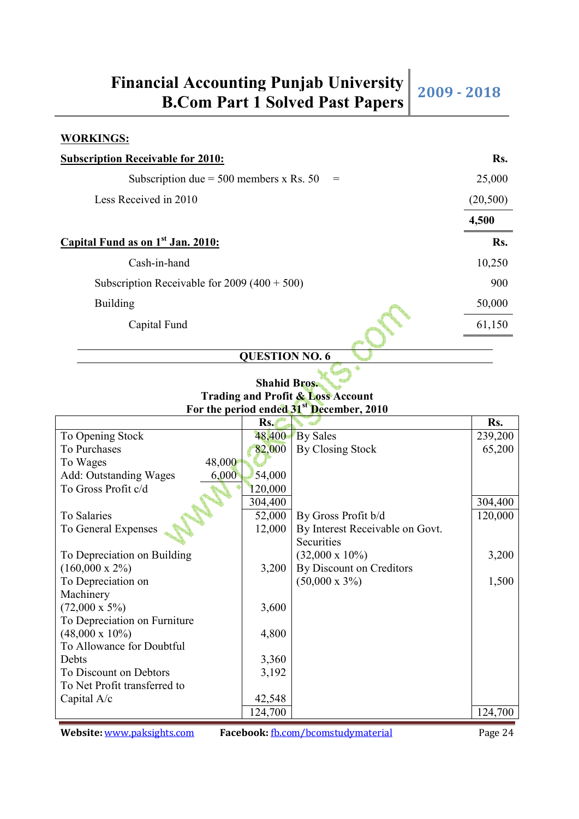#### **WORKINGS:**

| <b>Subscription Receivable for 2010:</b>           | Rs.      |
|----------------------------------------------------|----------|
| Subscription due = $500$ members x Rs. $50$<br>$=$ | 25,000   |
| Less Received in 2010                              | (20,500) |
|                                                    | 4,500    |
| Capital Fund as on 1 <sup>st</sup> Jan. 2010:      | Rs.      |
| Cash-in-hand                                       | 10,250   |
| Subscription Receivable for $2009 (400 + 500)$     | 900      |
| <b>Building</b>                                    | 50,000   |
| Capital Fund                                       | 61,150   |
| $\alpha$ is a constant and $\alpha$                |          |

### **QUESTION NO. 6**

**Trading and Profit & Loss Account For the period ended 31st December, 2010** 

|                                 | Rs.     |                                 | Rs.     |
|---------------------------------|---------|---------------------------------|---------|
| To Opening Stock                | 48,400  | By Sales                        | 239,200 |
| To Purchases                    | 82,000  | By Closing Stock                | 65,200  |
| 48,000<br>To Wages              |         |                                 |         |
| Add: Outstanding Wages<br>6,000 | 54,000  |                                 |         |
| To Gross Profit c/d             | 120,000 |                                 |         |
|                                 | 304,400 |                                 | 304,400 |
| To Salaries                     | 52,000  | By Gross Profit b/d             | 120,000 |
| To General Expenses             | 12,000  | By Interest Receivable on Govt. |         |
|                                 |         | Securities                      |         |
| To Depreciation on Building     |         | $(32,000 \times 10\%)$          | 3,200   |
| $(160,000 \times 2\%)$          | 3,200   | By Discount on Creditors        |         |
| To Depreciation on              |         | $(50,000 \times 3\%)$           | 1,500   |
| Machinery                       |         |                                 |         |
| $(72,000 \times 5\%)$           | 3,600   |                                 |         |
| To Depreciation on Furniture    |         |                                 |         |
| $(48,000 \times 10\%)$          | 4,800   |                                 |         |
| To Allowance for Doubtful       |         |                                 |         |
| Debts                           | 3,360   |                                 |         |
| To Discount on Debtors          | 3,192   |                                 |         |
| To Net Profit transferred to    |         |                                 |         |
| Capital $A/c$                   | 42,548  |                                 |         |
|                                 | 124,700 |                                 | 124,700 |

**Website:** www.paksights.com **Facebook:** fb.com/bcomstudymaterial Page 24

**Shahid Bros.**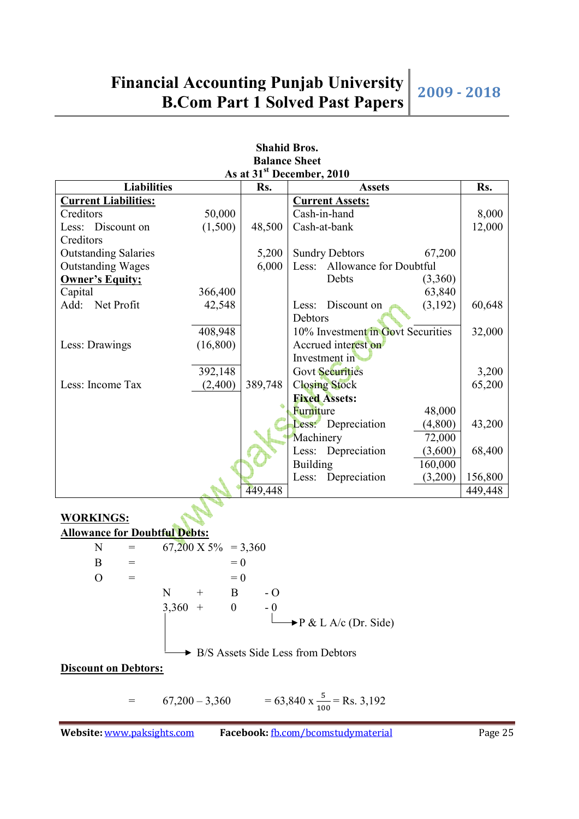| <b>Shahid Bros.</b>                   |                                  |         |                                    |         |  |
|---------------------------------------|----------------------------------|---------|------------------------------------|---------|--|
|                                       |                                  |         | <b>Balance Sheet</b>               |         |  |
| As at 31 <sup>st</sup> December, 2010 |                                  |         |                                    |         |  |
| <b>Liabilities</b>                    |                                  | Rs.     | <b>Assets</b>                      | Rs.     |  |
| <b>Current Liabilities:</b>           |                                  |         | <b>Current Assets:</b>             |         |  |
| Creditors                             | 50,000                           |         | Cash-in-hand                       | 8,000   |  |
| Less: Discount on                     | (1,500)                          | 48,500  | Cash-at-bank                       | 12,000  |  |
| Creditors                             |                                  |         |                                    |         |  |
| <b>Outstanding Salaries</b>           |                                  | 5,200   | <b>Sundry Debtors</b><br>67,200    |         |  |
| <b>Outstanding Wages</b>              |                                  | 6,000   | Allowance for Doubtful<br>Less:    |         |  |
| <b>Owner's Equity;</b>                |                                  |         | Debts<br>(3,360)                   |         |  |
| Capital                               | 366,400                          |         | 63,840                             |         |  |
| Net Profit<br>Add:                    | 42,548                           |         | Discount on<br>(3,192)<br>Less:    | 60,648  |  |
|                                       |                                  |         | Debtors                            |         |  |
|                                       | 408,948                          |         | 10% Investment in Govt Securities  | 32,000  |  |
| Less: Drawings                        | (16,800)                         |         | Accrued interest on                |         |  |
|                                       |                                  |         | Investment in                      |         |  |
|                                       | 392,148                          |         | <b>Govt Securities</b>             | 3,200   |  |
| Less: Income Tax                      | (2,400)                          | 389,748 | <b>Closing Stock</b>               | 65,200  |  |
|                                       |                                  |         | <b>Fixed Assets:</b>               |         |  |
|                                       |                                  |         | Furniture<br>48,000                |         |  |
|                                       |                                  |         | Less: Depreciation<br>(4,800)      | 43,200  |  |
|                                       |                                  |         | Machinery<br>72,000                |         |  |
|                                       |                                  |         | Depreciation<br>Less:<br>(3,600)   | 68,400  |  |
|                                       |                                  |         | <b>Building</b><br>160,000         |         |  |
|                                       |                                  |         | Depreciation<br>(3,200)<br>Less:   | 156,800 |  |
|                                       |                                  | 449,448 |                                    | 449,448 |  |
|                                       |                                  |         |                                    |         |  |
| <b>WORKINGS:</b>                      |                                  |         |                                    |         |  |
| <b>Allowance for Doubtful Debts:</b>  |                                  |         |                                    |         |  |
| $\mathbf N$<br>$\!\!\!=\!\!\!\!$      | $67,200 \text{ X } 5\% = 3,360$  |         |                                    |         |  |
| $\mathbf{B}$<br>$=$                   | $= 0$                            |         |                                    |         |  |
| $\overline{O}$<br>$=$                 | $= 0$                            |         |                                    |         |  |
|                                       | $\mathbf N$<br>B<br>$^{+}$       | $-$ O   |                                    |         |  |
|                                       | 3,360<br>$\boldsymbol{0}$<br>$+$ | $-0$    |                                    |         |  |
|                                       |                                  |         | $\rightarrow$ P & L A/c (Dr. Side) |         |  |
|                                       |                                  |         |                                    |         |  |

▶ B/S Assets Side Less from Debtors

**Discount on Debtors:**

 $=$  67,200 - 3,360  $=$  63,840 x  $\frac{5}{100}$  = Rs. 3,192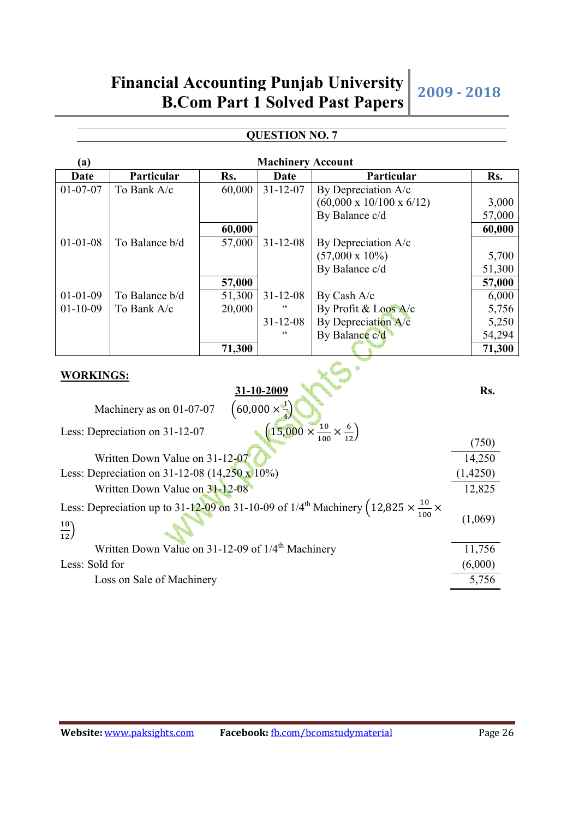## **Financial Accounting Punjab University B.Com Part 1 Solved Past Papers 2009 - 2018**

### **QUESTION NO. 7**

| <b>Machinery Account</b><br>(a) |                                                               |        |                                             |                                                                                                                       |          |  |
|---------------------------------|---------------------------------------------------------------|--------|---------------------------------------------|-----------------------------------------------------------------------------------------------------------------------|----------|--|
| Date                            | Particular                                                    | Rs.    | Date                                        | Particular                                                                                                            | Rs.      |  |
| $01 - 07 - 07$                  | To Bank A/c                                                   | 60,000 | $31 - 12 - 07$                              | By Depreciation A/c                                                                                                   |          |  |
|                                 |                                                               |        |                                             | $(60,000 \times 10/100 \times 6/12)$                                                                                  | 3,000    |  |
|                                 |                                                               |        |                                             | By Balance c/d                                                                                                        | 57,000   |  |
|                                 |                                                               | 60,000 |                                             |                                                                                                                       | 60,000   |  |
| $01 - 01 - 08$                  | To Balance b/d                                                | 57,000 | $31 - 12 - 08$                              | By Depreciation A/c                                                                                                   |          |  |
|                                 |                                                               |        |                                             | $(57,000 \times 10\%)$                                                                                                | 5,700    |  |
|                                 |                                                               |        |                                             | By Balance c/d                                                                                                        | 51,300   |  |
|                                 |                                                               | 57,000 |                                             |                                                                                                                       | 57,000   |  |
| $01 - 01 - 09$                  | To Balance b/d                                                | 51,300 | $31 - 12 - 08$                              | By Cash A/c                                                                                                           | 6,000    |  |
| $01 - 10 - 09$                  | To Bank A/c                                                   | 20,000 | $\zeta$ $\zeta$                             | By Profit & Loos A/c                                                                                                  | 5,756    |  |
|                                 |                                                               |        | $31 - 12 - 08$                              | By Depreciation A/c                                                                                                   | 5,250    |  |
|                                 |                                                               |        |                                             | By Balance c/d                                                                                                        | 54,294   |  |
|                                 |                                                               | 71,300 |                                             |                                                                                                                       | 71,300   |  |
| <b>WORKINGS:</b>                | Machinery as on 01-07-07                                      |        | 31-10-2009<br>$(60,000 \times \frac{1}{4})$ | $(15,000 \times \frac{10}{100} \times \frac{6}{12})$                                                                  | Rs.      |  |
|                                 | Less: Depreciation on 31-12-07                                |        |                                             |                                                                                                                       | (750)    |  |
|                                 | Written Down Value on 31-12-07                                |        |                                             |                                                                                                                       | 14,250   |  |
|                                 | Less: Depreciation on $31-12-08$ (14,250 x 10%)               |        |                                             |                                                                                                                       | (1,4250) |  |
|                                 | Written Down Value on 31-12-08                                |        |                                             |                                                                                                                       | 12,825   |  |
| $rac{10}{12}$                   |                                                               |        |                                             | Less: Depreciation up to 31-12-09 on 31-10-09 of 1/4 <sup>th</sup> Machinery (12,825 $\times \frac{10}{100}$ $\times$ | (1,069)  |  |
|                                 | Written Down Value on 31-12-09 of 1/4 <sup>th</sup> Machinery |        |                                             |                                                                                                                       | 11,756   |  |
| Less: Sold for                  |                                                               |        |                                             |                                                                                                                       | (6,000)  |  |
|                                 | Loss on Sale of Machinery                                     |        |                                             |                                                                                                                       | 5,756    |  |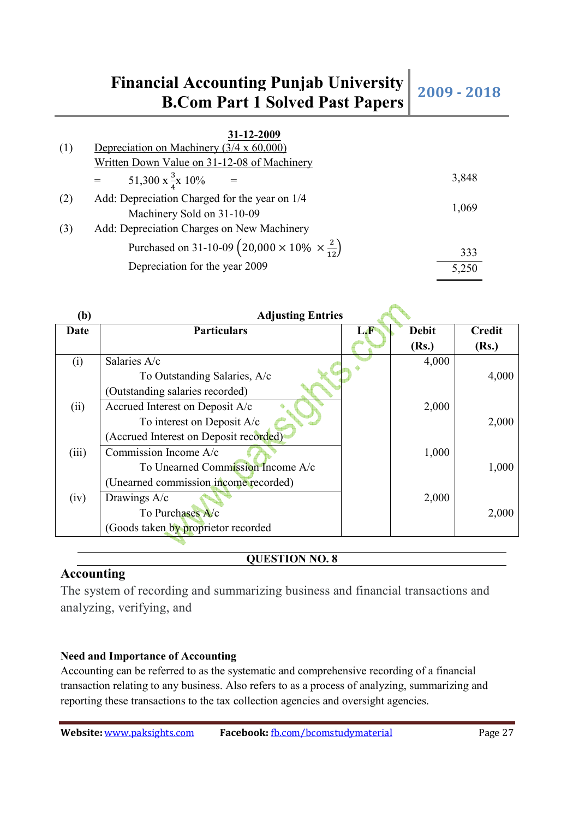### **Financial Accounting Punjab University Example 2009 - 2018**<br>**B.Com Part 1 Solved Past Papers** 2009 - 2018

| (1) | 31-12-2009<br>Depreciation on Machinery $(3/4 \times 60,000)$               |       |
|-----|-----------------------------------------------------------------------------|-------|
|     | Written Down Value on 31-12-08 of Machinery                                 |       |
|     | 51,300 x $\frac{3}{4}$ x 10%                                                | 3,848 |
| (2) | Add: Depreciation Charged for the year on 1/4                               |       |
|     | Machinery Sold on 31-10-09                                                  | 1,069 |
| (3) | Add: Depreciation Charges on New Machinery                                  |       |
|     | Purchased on 31-10-09 $\left(20,000 \times 10\% \times \frac{2}{12}\right)$ | 333   |
|     | Depreciation for the year 2009                                              | 5,250 |

| (b)   | <b>Adjusting Entries</b>               |    |              |               |
|-------|----------------------------------------|----|--------------|---------------|
| Date  | <b>Particulars</b>                     | LÆ | <b>Debit</b> | <b>Credit</b> |
|       |                                        |    | (Rs.)        | (Rs.)         |
| (i)   | Salaries A/c                           |    | 4,000        |               |
|       | To Outstanding Salaries, A/c           |    |              | 4,000         |
|       | (Outstanding salaries recorded)        |    |              |               |
| (ii)  | Accrued Interest on Deposit A/c        |    | 2,000        |               |
|       | To interest on Deposit A/c             |    |              | 2,000         |
|       | (Accrued Interest on Deposit recorded) |    |              |               |
| (iii) | Commission Income A/c                  |    | 1,000        |               |
|       | To Unearned Commission Income A/c      |    |              | 1,000         |
|       | (Unearned commission income recorded)  |    |              |               |
| (iv)  | Drawings A/c                           |    | 2,000        |               |
|       | To Purchases A/c                       |    |              | 2,000         |
|       | (Goods taken by proprietor recorded    |    |              |               |
|       |                                        |    |              |               |

### **QUESTION NO. 8**

### **Accounting**

The system of recording and summarizing business and financial transactions and analyzing, verifying, and

### **Need and Importance of Accounting**

Accounting can be referred to as the systematic and comprehensive recording of a financial transaction relating to any business. Also refers to as a process of analyzing, summarizing and reporting these transactions to the tax collection agencies and oversight agencies.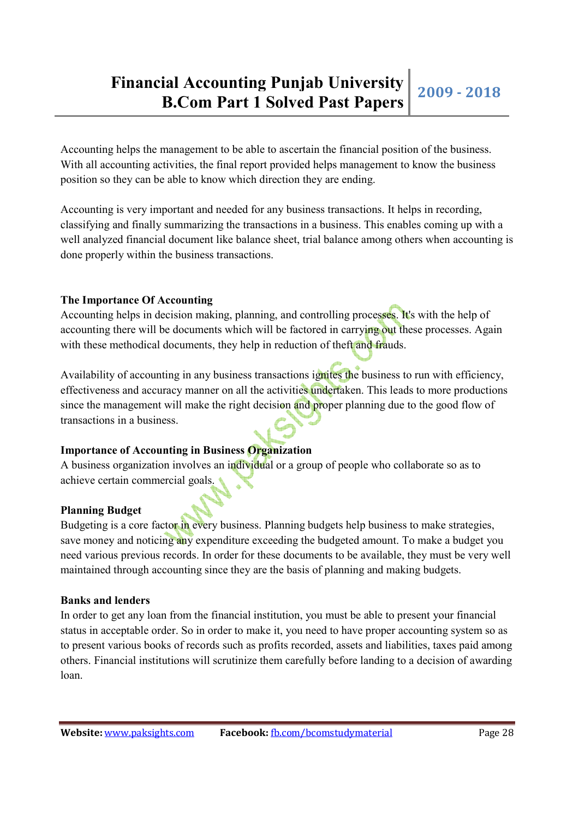Accounting helps the management to be able to ascertain the financial position of the business. With all accounting activities, the final report provided helps management to know the business position so they can be able to know which direction they are ending.

Accounting is very important and needed for any business transactions. It helps in recording, classifying and finally summarizing the transactions in a business. This enables coming up with a well analyzed financial document like balance sheet, trial balance among others when accounting is done properly within the business transactions.

### **The Importance Of Accounting**

Accounting helps in decision making, planning, and controlling processes. It's with the help of accounting there will be documents which will be factored in carrying out these processes. Again with these methodical documents, they help in reduction of theft and frauds.

Availability of accounting in any business transactions ignites the business to run with efficiency, effectiveness and accuracy manner on all the activities undertaken. This leads to more productions since the management will make the right decision and proper planning due to the good flow of transactions in a business.

### **Importance of Accounting in Business Organization**

A business organization involves an individual or a group of people who collaborate so as to achieve certain commercial goals.

### **Planning Budget**

Budgeting is a core factor in every business. Planning budgets help business to make strategies, save money and noticing any expenditure exceeding the budgeted amount. To make a budget you need various previous records. In order for these documents to be available, they must be very well maintained through accounting since they are the basis of planning and making budgets.

#### **Banks and lenders**

In order to get any loan from the financial institution, you must be able to present your financial status in acceptable order. So in order to make it, you need to have proper accounting system so as to present various books of records such as profits recorded, assets and liabilities, taxes paid among others. Financial institutions will scrutinize them carefully before landing to a decision of awarding loan.